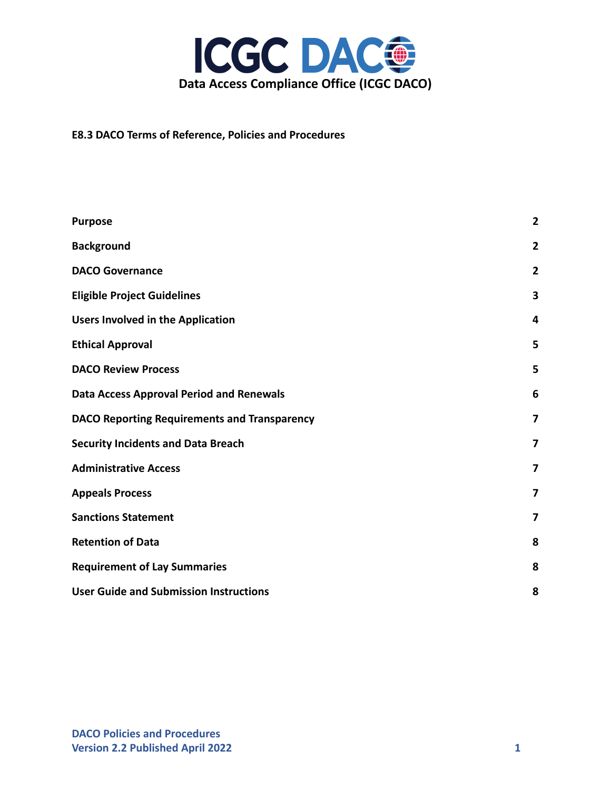

**E8.3 DACO Terms of Reference, Policies and Procedures**

| <b>Purpose</b>                                      | $\overline{2}$ |
|-----------------------------------------------------|----------------|
| <b>Background</b>                                   | $\overline{2}$ |
| <b>DACO Governance</b>                              | 2              |
| <b>Eligible Project Guidelines</b>                  | 3              |
| <b>Users Involved in the Application</b>            | 4              |
| <b>Ethical Approval</b>                             | 5              |
| <b>DACO Review Process</b>                          | 5              |
| <b>Data Access Approval Period and Renewals</b>     | 6              |
| <b>DACO Reporting Requirements and Transparency</b> | 7              |
| <b>Security Incidents and Data Breach</b>           | 7              |
| <b>Administrative Access</b>                        | $\overline{7}$ |
| <b>Appeals Process</b>                              | 7              |
| <b>Sanctions Statement</b>                          | 7              |
| <b>Retention of Data</b>                            | 8              |
| <b>Requirement of Lay Summaries</b>                 | 8              |
| <b>User Guide and Submission Instructions</b>       | 8              |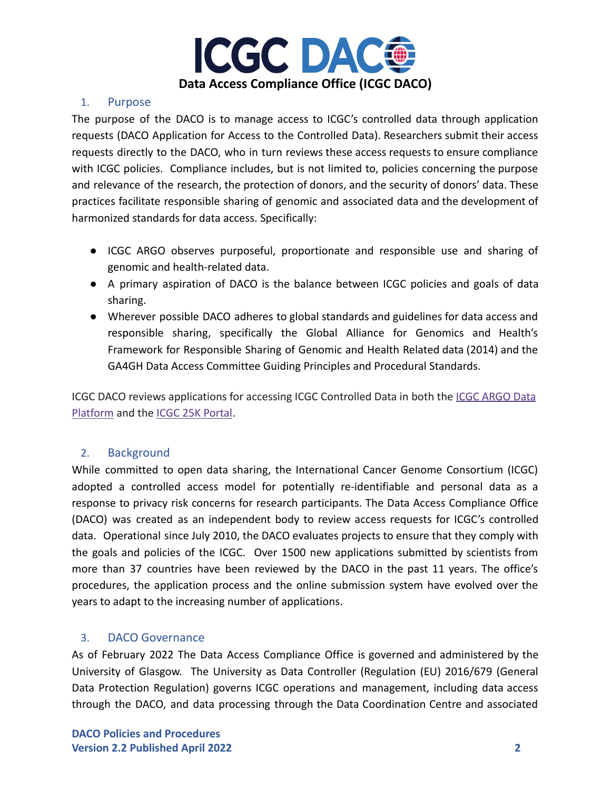

## <span id="page-1-0"></span>1. Purpose

The purpose of the DACO is to manage access to ICGC's controlled data through application requests (DACO Application for Access to the Controlled Data). Researchers submit their access requests directly to the DACO, who in turn reviews these access requests to ensure compliance with ICGC policies. Compliance includes, but is not limited to, policies concerning the purpose and relevance of the research, the protection of donors, and the security of donors' data. These practices facilitate responsible sharing of genomic and associated data and the development of harmonized standards for data access. Specifically:

- ICGC ARGO observes purposeful, proportionate and responsible use and sharing of genomic and health-related data.
- A primary aspiration of DACO is the balance between ICGC policies and goals of data sharing.
- Wherever possible DACO adheres to global standards and guidelines for data access and responsible sharing, specifically the Global Alliance for Genomics and Health's Framework for Responsible Sharing of Genomic and Health Related data (2014) and the GA4GH Data Access Committee Guiding Principles and Procedural Standards.

ICGC DACO reviews applications for accessing ICGC Controlled Data in both the [ICGC ARGO Data](https://platform.icgc-argo.org/) [Platform](https://platform.icgc-argo.org/) and the [ICGC 25K Portal.](https://dcc.icgc.org/)

# <span id="page-1-1"></span>2. Background

While committed to open data sharing, the International Cancer Genome Consortium (ICGC) adopted a controlled access model for potentially re-identifiable and personal data as a response to privacy risk concerns for research participants. The Data Access Compliance Office (DACO) was created as an independent body to review access requests for ICGC's controlled data. Operational since July 2010, the DACO evaluates projects to ensure that they comply with the goals and policies of the ICGC. Over 1500 new applications submitted by scientists from more than 37 countries have been reviewed by the DACO in the past 11 years. The office's procedures, the application process and the online submission system have evolved over the years to adapt to the increasing number of applications.

## <span id="page-1-2"></span>3. DACO Governance

As of February 2022 The Data Access Compliance Office is governed and administered by the University of Glasgow. The University as Data Controller (Regulation (EU) 2016/679 (General Data Protection Regulation) governs ICGC operations and management, including data access through the DACO, and data processing through the Data Coordination Centre and associated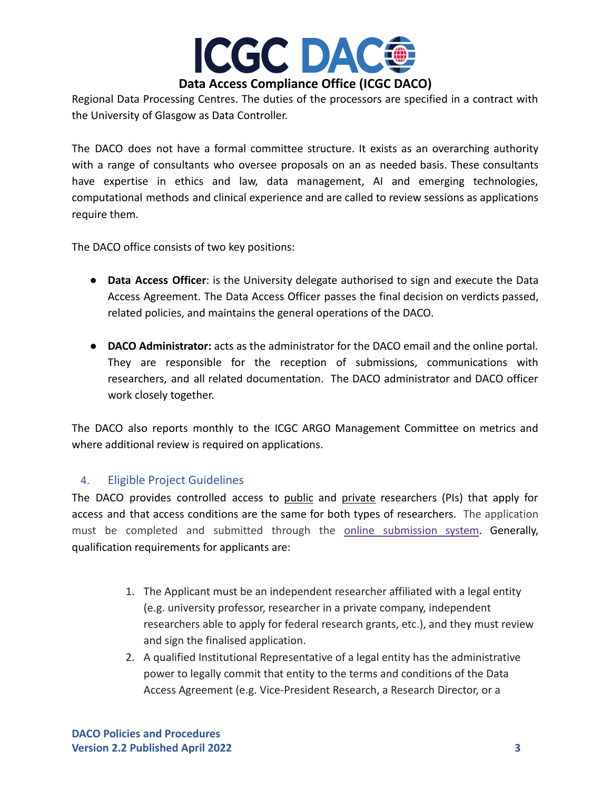

Regional Data Processing Centres. The duties of the processors are specified in a contract with the University of Glasgow as Data Controller.

The DACO does not have a formal committee structure. It exists as an overarching authority with a range of consultants who oversee proposals on an as needed basis. These consultants have expertise in ethics and law, data management, AI and emerging technologies, computational methods and clinical experience and are called to review sessions as applications require them.

The DACO office consists of two key positions:

- **Data Access Officer**: is the University delegate authorised to sign and execute the Data Access Agreement. The Data Access Officer passes the final decision on verdicts passed, related policies, and maintains the general operations of the DACO.
- **DACO Administrator:** acts as the administrator for the DACO email and the online portal. They are responsible for the reception of submissions, communications with researchers, and all related documentation. The DACO administrator and DACO officer work closely together.

The DACO also reports monthly to the ICGC ARGO Management Committee on metrics and where additional review is required on applications.

## <span id="page-2-0"></span>4. Eligible Project Guidelines

The DACO provides controlled access to public and private researchers (PIs) that apply for access and that access conditions are the same for both types of researchers. The application must be completed and submitted through the online [submission](https://daco.icgc-argo.org/) system. Generally, qualification requirements for applicants are:

- 1. The Applicant must be an independent researcher affiliated with a legal entity (e.g. university professor, researcher in a private company, independent researchers able to apply for federal research grants, etc.), and they must review and sign the finalised application.
- 2. A qualified Institutional Representative of a legal entity has the administrative power to legally commit that entity to the terms and conditions of the Data Access Agreement (e.g. Vice-President Research, a Research Director, or a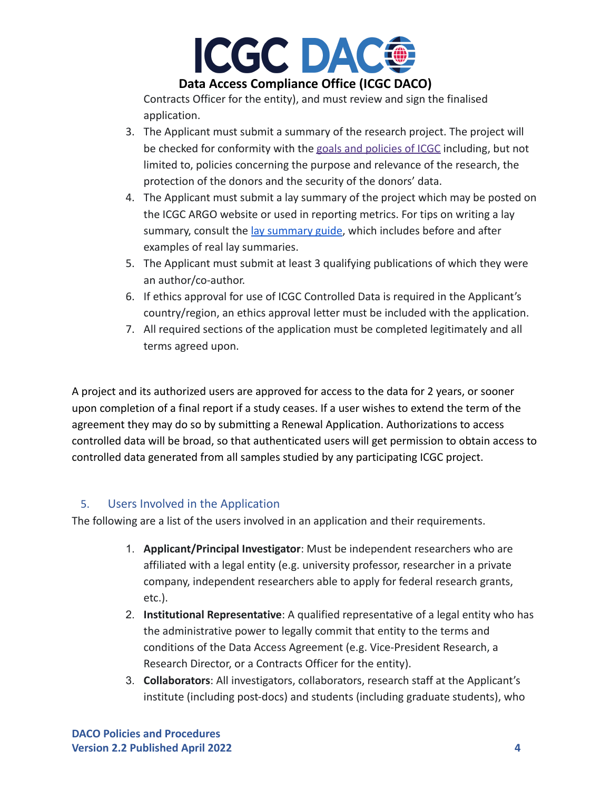

Contracts Officer for the entity), and must review and sign the finalised application.

- 3. The Applicant must submit a summary of the research project. The project will be checked for conformity with the [goals and policies](https://www.icgc-argo.org/page/72/introduction-and-goals-) of ICGC including, but not limited to, policies concerning the purpose and relevance of the research, the protection of the donors and the security of the donors' data.
- 4. The Applicant must submit a lay summary of the project which may be posted on the ICGC ARGO website or used in reporting metrics. For tips on writing a lay summary, consult the [lay summary guide](https://www.icgc-argo.org/page/141/e86-lay-summary-guide-for-researchers-tips-on-writing-a-lay-summary-), which includes before and after examples of real lay summaries.
- 5. The Applicant must submit at least 3 qualifying publications of which they were an author/co-author.
- 6. If ethics approval for use of ICGC Controlled Data is required in the Applicant's country/region, an ethics approval letter must be included with the application.
- 7. All required sections of the application must be completed legitimately and all terms agreed upon.

A project and its authorized users are approved for access to the data for 2 years, or sooner upon completion of a final report if a study ceases. If a user wishes to extend the term of the agreement they may do so by submitting a Renewal Application. Authorizations to access controlled data will be broad, so that authenticated users will get permission to obtain access to controlled data generated from all samples studied by any participating ICGC project.

# <span id="page-3-0"></span>5. Users Involved in the Application

The following are a list of the users involved in an application and their requirements.

- 1. **Applicant/Principal Investigator**: Must be independent researchers who are affiliated with a legal entity (e.g. university professor, researcher in a private company, independent researchers able to apply for federal research grants, etc.).
- 2. **Institutional Representative**: A qualified representative of a legal entity who has the administrative power to legally commit that entity to the terms and conditions of the Data Access Agreement (e.g. Vice-President Research, a Research Director, or a Contracts Officer for the entity).
- 3. **Collaborators**: All investigators, collaborators, research staff at the Applicant's institute (including post-docs) and students (including graduate students), who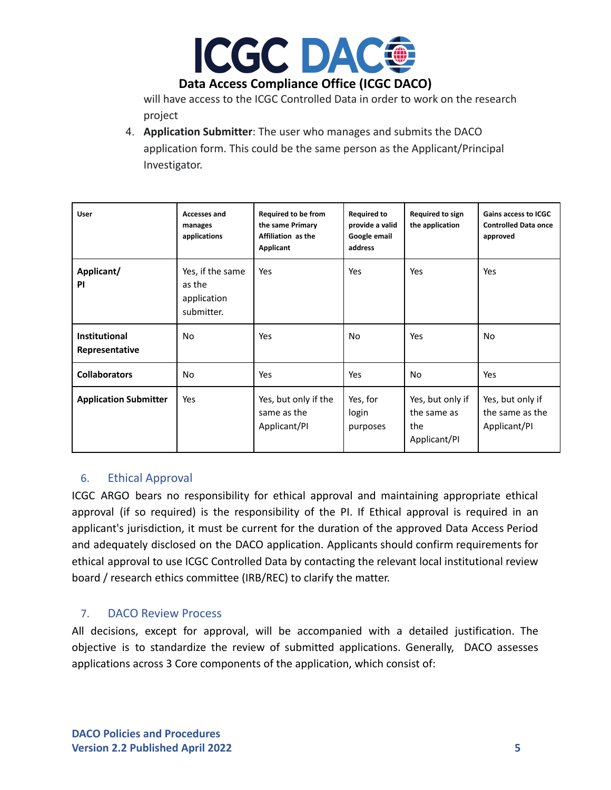

will have access to the ICGC Controlled Data in order to work on the research project

4. **Application Submitter**: The user who manages and submits the DACO application form. This could be the same person as the Applicant/Principal Investigator.

| <b>User</b>                            | <b>Accesses and</b><br>manages<br>applications          | <b>Required to be from</b><br>the same Primary<br>Affiliation as the<br>Applicant | <b>Required to</b><br>provide a valid<br>Google email<br>address | Required to sign<br>the application                    | <b>Gains access to ICGC</b><br><b>Controlled Data once</b><br>approved |
|----------------------------------------|---------------------------------------------------------|-----------------------------------------------------------------------------------|------------------------------------------------------------------|--------------------------------------------------------|------------------------------------------------------------------------|
| Applicant/<br>PI                       | Yes, if the same<br>as the<br>application<br>submitter. | Yes                                                                               | Yes                                                              | Yes                                                    | Yes                                                                    |
| <b>Institutional</b><br>Representative | N <sub>o</sub>                                          | Yes                                                                               | No                                                               | Yes                                                    | No                                                                     |
| <b>Collaborators</b>                   | <b>No</b>                                               | Yes                                                                               | Yes                                                              | No                                                     | Yes                                                                    |
| <b>Application Submitter</b>           | Yes                                                     | Yes, but only if the<br>same as the<br>Applicant/PI                               | Yes, for<br>login<br>purposes                                    | Yes, but only if<br>the same as<br>the<br>Applicant/PI | Yes, but only if<br>the same as the<br>Applicant/PI                    |

## <span id="page-4-0"></span>6. Ethical Approval

ICGC ARGO bears no responsibility for ethical approval and maintaining appropriate ethical approval (if so required) is the responsibility of the PI. If Ethical approval is required in an applicant's jurisdiction, it must be current for the duration of the approved Data Access Period and adequately disclosed on the DACO application. Applicants should confirm requirements for ethical approval to use ICGC Controlled Data by contacting the relevant local institutional review board / research ethics committee (IRB/REC) to clarify the matter.

## <span id="page-4-1"></span>7. DACO Review Process

All decisions, except for approval, will be accompanied with a detailed justification. The objective is to standardize the review of submitted applications. Generally, DACO assesses applications across 3 Core components of the application, which consist of: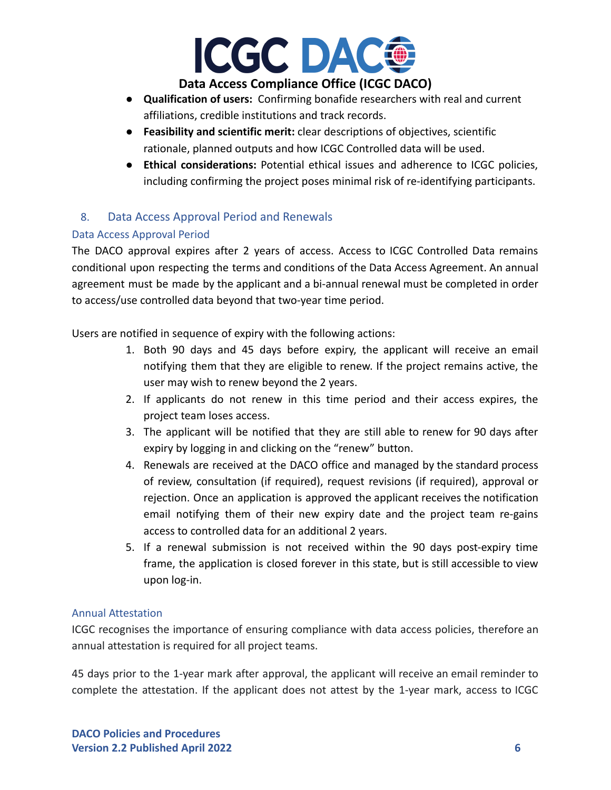

- **Qualification of users:** Confirming bonafide researchers with real and current affiliations, credible institutions and track records.
- **● Feasibility and scientific merit:** clear descriptions of objectives, scientific rationale, planned outputs and how ICGC Controlled data will be used.
- **Ethical considerations:** Potential ethical issues and adherence to ICGC policies, including confirming the project poses minimal risk of re-identifying participants.

# <span id="page-5-0"></span>8. Data Access Approval Period and Renewals

## Data Access Approval Period

The DACO approval expires after 2 years of access. Access to ICGC Controlled Data remains conditional upon respecting the terms and conditions of the Data Access Agreement. An annual agreement must be made by the applicant and a bi-annual renewal must be completed in order to access/use controlled data beyond that two-year time period.

Users are notified in sequence of expiry with the following actions:

- 1. Both 90 days and 45 days before expiry, the applicant will receive an email notifying them that they are eligible to renew. If the project remains active, the user may wish to renew beyond the 2 years.
- 2. If applicants do not renew in this time period and their access expires, the project team loses access.
- 3. The applicant will be notified that they are still able to renew for 90 days after expiry by logging in and clicking on the "renew" button.
- 4. Renewals are received at the DACO office and managed by the standard process of review, consultation (if required), request revisions (if required), approval or rejection. Once an application is approved the applicant receives the notification email notifying them of their new expiry date and the project team re-gains access to controlled data for an additional 2 years.
- 5. If a renewal submission is not received within the 90 days post-expiry time frame, the application is closed forever in this state, but is still accessible to view upon log-in.

#### Annual Attestation

ICGC recognises the importance of ensuring compliance with data access policies, therefore an annual attestation is required for all project teams.

45 days prior to the 1-year mark after approval, the applicant will receive an email reminder to complete the attestation. If the applicant does not attest by the 1-year mark, access to ICGC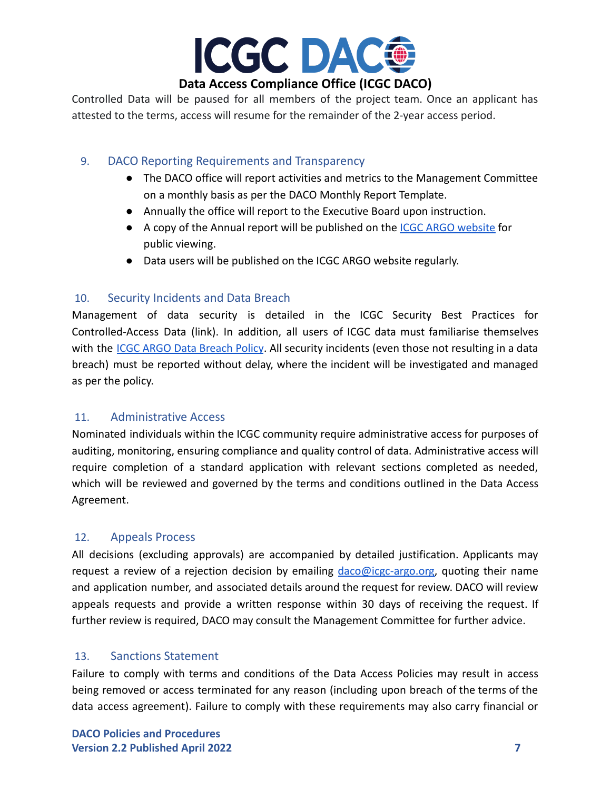

Controlled Data will be paused for all members of the project team. Once an applicant has attested to the terms, access will resume for the remainder of the 2-year access period.

## <span id="page-6-0"></span>9. DACO Reporting Requirements and Transparency

- The DACO office will report activities and metrics to the Management Committee on a monthly basis as per the DACO Monthly Report Template.
- Annually the office will report to the Executive Board upon instruction.
- A copy of the Annual report will be published on the **[ICGC ARGO website](http://www.icgc-argo.org)** for public viewing.
- Data users will be published on the ICGC ARGO website regularly.

## <span id="page-6-1"></span>10. Security Incidents and Data Breach

Management of data security is detailed in the ICGC Security Best Practices for Controlled-Access Data (link). In addition, all users of ICGC data must familiarise themselves with the ICGC ARGO Data [Breach](https://www.icgc-argo.org/page/137/e84-data-breach-policy-) Policy. All security incidents (even those not resulting in a data breach) must be reported without delay, where the incident will be investigated and managed as per the policy.

# <span id="page-6-2"></span>11. Administrative Access

Nominated individuals within the ICGC community require administrative access for purposes of auditing, monitoring, ensuring compliance and quality control of data. Administrative access will require completion of a standard application with relevant sections completed as needed, which will be reviewed and governed by the terms and conditions outlined in the Data Access Agreement.

# <span id="page-6-3"></span>12. Appeals Process

All decisions (excluding approvals) are accompanied by detailed justification. Applicants may request a review of a rejection decision by emailing  $\frac{d}{d}$  [daco@icgc-argo.org,](mailto:daco@icgc-argo.org) quoting their name and application number, and associated details around the request for review. DACO will review appeals requests and provide a written response within 30 days of receiving the request. If further review is required, DACO may consult the Management Committee for further advice.

## <span id="page-6-4"></span>13. Sanctions Statement

Failure to comply with terms and conditions of the Data Access Policies may result in access being removed or access terminated for any reason (including upon breach of the terms of the data access agreement). Failure to comply with these requirements may also carry financial or